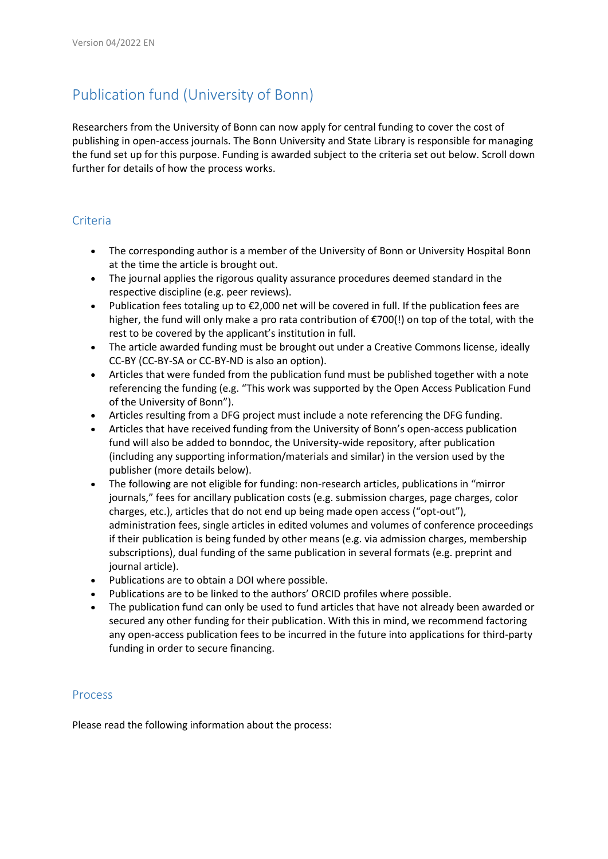## Publication fund (University of Bonn)

Researchers from the University of Bonn can now apply for central funding to cover the cost of publishing in open-access journals. The Bonn University and State Library is responsible for managing the fund set up for this purpose. Funding is awarded subject to the criteria set out below. Scroll down further for details of how the process works.

## **Criteria**

- The corresponding author is a member of the University of Bonn or University Hospital Bonn at the time the article is brought out.
- The journal applies the rigorous quality assurance procedures deemed standard in the respective discipline (e.g. peer reviews).
- Publication fees totaling up to €2,000 net will be covered in full. If the publication fees are higher, the fund will only make a pro rata contribution of €700(!) on top of the total, with the rest to be covered by the applicant's institution in full.
- The article awarded funding must be brought out under a Creative Commons license, ideally CC-BY (CC-BY-SA or CC-BY-ND is also an option).
- Articles that were funded from the publication fund must be published together with a note referencing the funding (e.g. "This work was supported by the Open Access Publication Fund of the University of Bonn").
- Articles resulting from a DFG project must include a note referencing the DFG funding.
- Articles that have received funding from the University of Bonn's open-access publication fund will also be added to bonndoc, the University-wide repository, after publication (including any supporting information/materials and similar) in the version used by the publisher (more details below).
- The following are not eligible for funding: non-research articles, publications in "mirror journals," fees for ancillary publication costs (e.g. submission charges, page charges, color charges, etc.), articles that do not end up being made open access ("opt-out"), administration fees, single articles in edited volumes and volumes of conference proceedings if their publication is being funded by other means (e.g. via admission charges, membership subscriptions), dual funding of the same publication in several formats (e.g. preprint and journal article).
- Publications are to obtain a DOI where possible.
- Publications are to be linked to the authors' ORCID profiles where possible.
- The publication fund can only be used to fund articles that have not already been awarded or secured any other funding for their publication. With this in mind, we recommend factoring any open-access publication fees to be incurred in the future into applications for third-party funding in order to secure financing.

## Process

Please read the following information about the process: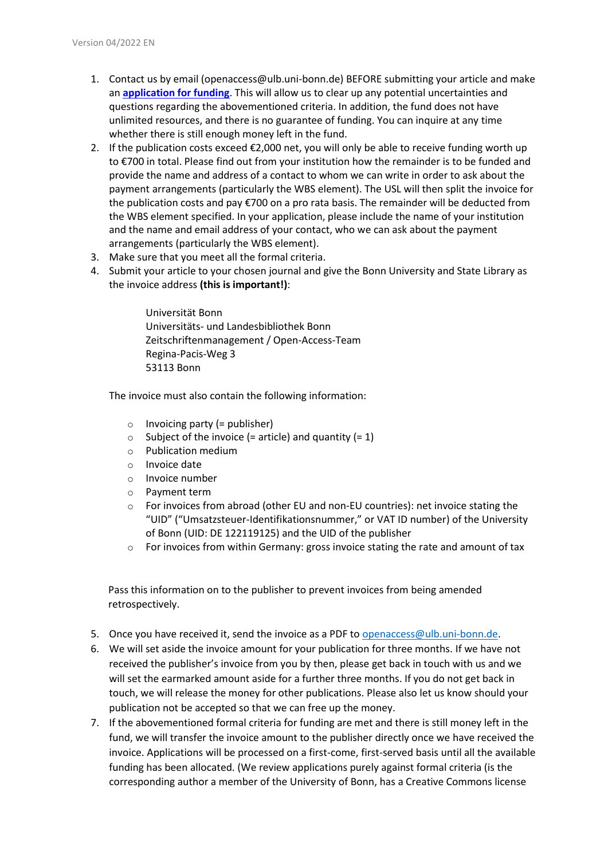- 1. Contact us by email (openaccess@ulb.uni-bonn.de) BEFORE submitting your article and make an **[application for funding](https://www.open-access.uni-bonn.de/de/open-access/finanzierungsmodelle/APC_Bewerbungsformular_2022_v2.docx)**. This will allow us to clear up any potential uncertainties and questions regarding the abovementioned criteria. In addition, the fund does not have unlimited resources, and there is no guarantee of funding. You can inquire at any time whether there is still enough money left in the fund.
- 2. If the publication costs exceed  $\epsilon$ 2,000 net, you will only be able to receive funding worth up to €700 in total. Please find out from your institution how the remainder is to be funded and provide the name and address of a contact to whom we can write in order to ask about the payment arrangements (particularly the WBS element). The USL will then split the invoice for the publication costs and pay €700 on a pro rata basis. The remainder will be deducted from the WBS element specified. In your application, please include the name of your institution and the name and email address of your contact, who we can ask about the payment arrangements (particularly the WBS element).
- 3. Make sure that you meet all the formal criteria.
- 4. Submit your article to your chosen journal and give the Bonn University and State Library as the invoice address **(this is important!)**:

Universität Bonn Universitäts- und Landesbibliothek Bonn Zeitschriftenmanagement / Open-Access-Team Regina-Pacis-Weg 3 53113 Bonn

The invoice must also contain the following information:

- $\circ$  Invoicing party (= publisher)
- $\circ$  Subject of the invoice (= article) and quantity (= 1)
- o Publication medium
- o Invoice date
- o Invoice number
- o Payment term
- $\circ$  For invoices from abroad (other EU and non-EU countries): net invoice stating the "UID" ("Umsatzsteuer-Identifikationsnummer," or VAT ID number) of the University of Bonn (UID: DE 122119125) and the UID of the publisher
- o For invoices from within Germany: gross invoice stating the rate and amount of tax

Pass this information on to the publisher to prevent invoices from being amended retrospectively.

- 5. Once you have received it, send the invoice as a PDF to [openaccess@ulb.uni-bonn.de.](mailto:openaccess@ulb.uni-bonn.de)
- 6. We will set aside the invoice amount for your publication for three months. If we have not received the publisher's invoice from you by then, please get back in touch with us and we will set the earmarked amount aside for a further three months. If you do not get back in touch, we will release the money for other publications. Please also let us know should your publication not be accepted so that we can free up the money.
- 7. If the abovementioned formal criteria for funding are met and there is still money left in the fund, we will transfer the invoice amount to the publisher directly once we have received the invoice. Applications will be processed on a first-come, first-served basis until all the available funding has been allocated. (We review applications purely against formal criteria (is the corresponding author a member of the University of Bonn, has a Creative Commons license